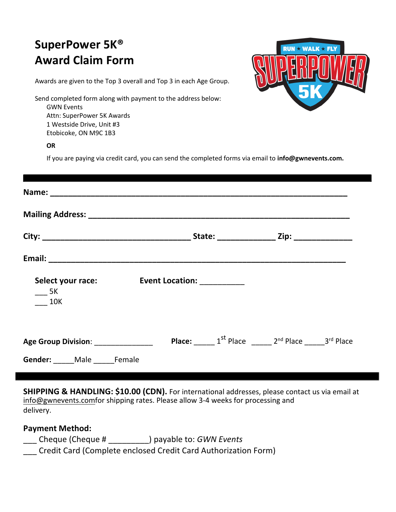## **SuperPower 5K® Award Claim Form**



Awards are given to the Top 3 overall and Top 3 in each Age Group.

Send completed form along with payment to the address below: GWN Events Attn: SuperPower 5K Awards 1 Westside Drive, Unit #3 Etobicoke, ON M9C 1B3

## **OR**

If you are paying via credit card, you can send the completed forms via email to **info@gwnevents.com.**

| $\frac{1}{2}$ 5K<br><b>10K</b>                                         | Select your race: Event Location: _________ |                                                                           |
|------------------------------------------------------------------------|---------------------------------------------|---------------------------------------------------------------------------|
| Age Group Division: _______________<br>Gender: _____ Male _____ Female |                                             | <b>Place:</b> $1^{st}$ Place $2^{nd}$ Place $2^{nd}$ Place $3^{rd}$ Place |

**SHIPPING & HANDLING: \$10.00 (CDN).** For international addresses, please contact us via email at info@gwnevents.comfor shipping rates. Please allow 3-4 weeks for processing and delivery.

## **Payment Method:**

- \_\_\_ Cheque (Cheque # \_\_\_\_\_\_\_\_\_) payable to: *GWN Events*
- \_\_\_ Credit Card (Complete enclosed Credit Card Authorization Form)